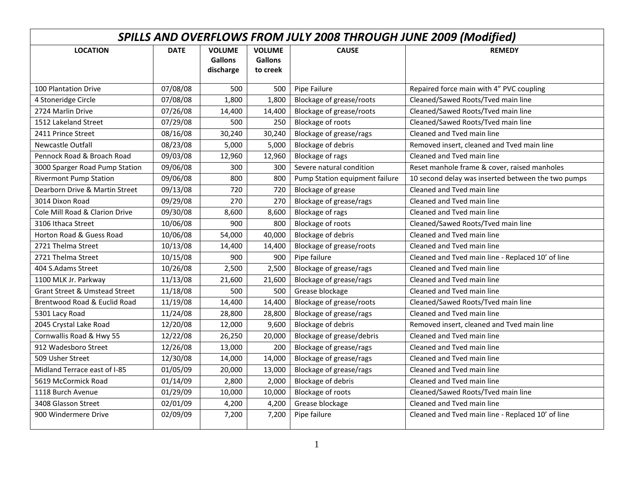| SPILLS AND OVERFLOWS FROM JULY 2008 THROUGH JUNE 2009 (Modified) |             |                                              |                                             |                                 |                                                    |  |  |  |
|------------------------------------------------------------------|-------------|----------------------------------------------|---------------------------------------------|---------------------------------|----------------------------------------------------|--|--|--|
| <b>LOCATION</b>                                                  | <b>DATE</b> | <b>VOLUME</b><br><b>Gallons</b><br>discharge | <b>VOLUME</b><br><b>Gallons</b><br>to creek | <b>CAUSE</b>                    | <b>REMEDY</b>                                      |  |  |  |
| <b>100 Plantation Drive</b>                                      | 07/08/08    | 500                                          | 500                                         | Pipe Failure                    | Repaired force main with 4" PVC coupling           |  |  |  |
| 4 Stoneridge Circle                                              | 07/08/08    | 1,800                                        | 1,800                                       | <b>Blockage of grease/roots</b> | Cleaned/Sawed Roots/Tved main line                 |  |  |  |
| 2724 Marlin Drive                                                | 07/26/08    | 14,400                                       | 14,400                                      | <b>Blockage of grease/roots</b> | Cleaned/Sawed Roots/Tved main line                 |  |  |  |
| 1512 Lakeland Street                                             | 07/29/08    | 500                                          | 250                                         | Blockage of roots               | Cleaned/Sawed Roots/Tved main line                 |  |  |  |
| 2411 Prince Street                                               | 08/16/08    | 30,240                                       | 30,240                                      | Blockage of grease/rags         | Cleaned and Tyed main line                         |  |  |  |
| <b>Newcastle Outfall</b>                                         | 08/23/08    | 5,000                                        | 5,000                                       | <b>Blockage of debris</b>       | Removed insert, cleaned and Tved main line         |  |  |  |
| Pennock Road & Broach Road                                       | 09/03/08    | 12,960                                       | 12,960                                      | Blockage of rags                | Cleaned and Tyed main line                         |  |  |  |
| 3000 Sparger Road Pump Station                                   | 09/06/08    | 300                                          | 300                                         | Severe natural condition        | Reset manhole frame & cover, raised manholes       |  |  |  |
| <b>Rivermont Pump Station</b>                                    | 09/06/08    | 800                                          | 800                                         | Pump Station equipment failure  | 10 second delay was inserted between the two pumps |  |  |  |
| Dearborn Drive & Martin Street                                   | 09/13/08    | 720                                          | 720                                         | Blockage of grease              | Cleaned and Tved main line                         |  |  |  |
| 3014 Dixon Road                                                  | 09/29/08    | 270                                          | 270                                         | Blockage of grease/rags         | Cleaned and Tyed main line                         |  |  |  |
| Cole Mill Road & Clarion Drive                                   | 09/30/08    | 8,600                                        | 8,600                                       | Blockage of rags                | Cleaned and Tved main line                         |  |  |  |
| 3106 Ithaca Street                                               | 10/06/08    | 900                                          | 800                                         | Blockage of roots               | Cleaned/Sawed Roots/Tved main line                 |  |  |  |
| <b>Horton Road &amp; Guess Road</b>                              | 10/06/08    | 54,000                                       | 40,000                                      | <b>Blockage of debris</b>       | Cleaned and Tved main line                         |  |  |  |
| 2721 Thelma Street                                               | 10/13/08    | 14,400                                       | 14,400                                      | <b>Blockage of grease/roots</b> | Cleaned and Tyed main line                         |  |  |  |
| 2721 Thelma Street                                               | 10/15/08    | 900                                          | 900                                         | Pipe failure                    | Cleaned and Tved main line - Replaced 10' of line  |  |  |  |
| 404 S.Adams Street                                               | 10/26/08    | 2,500                                        | 2,500                                       | Blockage of grease/rags         | Cleaned and Tved main line                         |  |  |  |
| 1100 MLK Jr. Parkway                                             | 11/13/08    | 21,600                                       | 21,600                                      | Blockage of grease/rags         | Cleaned and Tyed main line                         |  |  |  |
| <b>Grant Street &amp; Umstead Street</b>                         | 11/18/08    | 500                                          | 500                                         | Grease blockage                 | Cleaned and Tyed main line                         |  |  |  |
| Brentwood Road & Euclid Road                                     | 11/19/08    | 14,400                                       | 14,400                                      | Blockage of grease/roots        | Cleaned/Sawed Roots/Tved main line                 |  |  |  |
| 5301 Lacy Road                                                   | 11/24/08    | 28,800                                       | 28,800                                      | Blockage of grease/rags         | Cleaned and Tved main line                         |  |  |  |
| 2045 Crystal Lake Road                                           | 12/20/08    | 12,000                                       | 9,600                                       | <b>Blockage of debris</b>       | Removed insert, cleaned and Tved main line         |  |  |  |
| Cornwallis Road & Hwy 55                                         | 12/22/08    | 26,250                                       | 20,000                                      | Blockage of grease/debris       | Cleaned and Tyed main line                         |  |  |  |
| 912 Wadesboro Street                                             | 12/26/08    | 13,000                                       | 200                                         | Blockage of grease/rags         | Cleaned and Tyed main line                         |  |  |  |
| 509 Usher Street                                                 | 12/30/08    | 14,000                                       | 14,000                                      | Blockage of grease/rags         | Cleaned and Tyed main line                         |  |  |  |
| Midland Terrace east of I-85                                     | 01/05/09    | 20,000                                       | 13,000                                      | Blockage of grease/rags         | Cleaned and Tved main line                         |  |  |  |
| 5619 McCormick Road                                              | 01/14/09    | 2,800                                        | 2,000                                       | <b>Blockage of debris</b>       | Cleaned and Tved main line                         |  |  |  |
| 1118 Burch Avenue                                                | 01/29/09    | 10,000                                       | 10,000                                      | Blockage of roots               | Cleaned/Sawed Roots/Tved main line                 |  |  |  |
| 3408 Glasson Street                                              | 02/01/09    | 4,200                                        | 4,200                                       | Grease blockage                 | Cleaned and Tved main line                         |  |  |  |
| 900 Windermere Drive                                             | 02/09/09    | 7,200                                        | 7,200                                       | Pipe failure                    | Cleaned and Tved main line - Replaced 10' of line  |  |  |  |